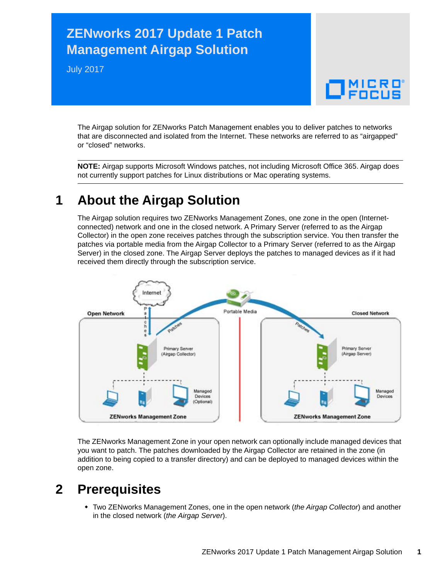# **ZENworks 2017 Update 1 Patch Management Airgap Solution**

July 2017



The Airgap solution for ZENworks Patch Management enables you to deliver patches to networks that are disconnected and isolated from the Internet. These networks are referred to as "airgapped" or "closed" networks.

**NOTE:** Airgap supports Microsoft Windows patches, not including Microsoft Office 365. Airgap does not currently support patches for Linux distributions or Mac operating systems.

## **1 About the Airgap Solution**

The Airgap solution requires two ZENworks Management Zones, one zone in the open (Internetconnected) network and one in the closed network. A Primary Server (referred to as the Airgap Collector) in the open zone receives patches through the subscription service. You then transfer the patches via portable media from the Airgap Collector to a Primary Server (referred to as the Airgap Server) in the closed zone. The Airgap Server deploys the patches to managed devices as if it had received them directly through the subscription service.



The ZENworks Management Zone in your open network can optionally include managed devices that you want to patch. The patches downloaded by the Airgap Collector are retained in the zone (in addition to being copied to a transfer directory) and can be deployed to managed devices within the open zone.

### **2 Prerequisites**

 Two ZENworks Management Zones, one in the open network (*the Airgap Collector*) and another in the closed network (*the Airgap Server*).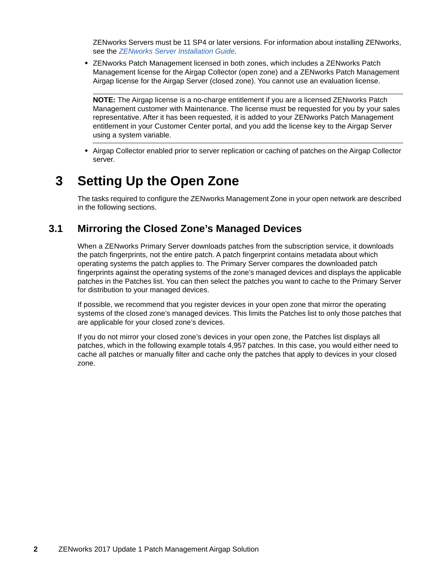ZENworks Servers must be 11 SP4 or later versions. For information about installing ZENworks, see the *[ZENworks Server Installation Guide](https://www.novell.com/documentation/zenworks2017/pdfdoc/zen_installation/zen_installation.pdf#bookinfo)*.

 ZENworks Patch Management licensed in both zones, which includes a ZENworks Patch Management license for the Airgap Collector (open zone) and a ZENworks Patch Management Airgap license for the Airgap Server (closed zone). You cannot use an evaluation license.

**NOTE:** The Airgap license is a no-charge entitlement if you are a licensed ZENworks Patch Management customer with Maintenance. The license must be requested for you by your sales representative. After it has been requested, it is added to your ZENworks Patch Management entitlement in your Customer Center portal, and you add the license key to the Airgap Server using a system variable.

 Airgap Collector enabled prior to server replication or caching of patches on the Airgap Collector server.

### **3 Setting Up the Open Zone**

The tasks required to configure the ZENworks Management Zone in your open network are described in the following sections.

### <span id="page-1-0"></span>**3.1 Mirroring the Closed Zone's Managed Devices**

When a ZENworks Primary Server downloads patches from the subscription service, it downloads the patch fingerprints, not the entire patch. A patch fingerprint contains metadata about which operating systems the patch applies to. The Primary Server compares the downloaded patch fingerprints against the operating systems of the zone's managed devices and displays the applicable patches in the Patches list. You can then select the patches you want to cache to the Primary Server for distribution to your managed devices.

If possible, we recommend that you register devices in your open zone that mirror the operating systems of the closed zone's managed devices. This limits the Patches list to only those patches that are applicable for your closed zone's devices.

If you do not mirror your closed zone's devices in your open zone, the Patches list displays all patches, which in the following example totals 4,957 patches. In this case, you would either need to cache all patches or manually filter and cache only the patches that apply to devices in your closed zone.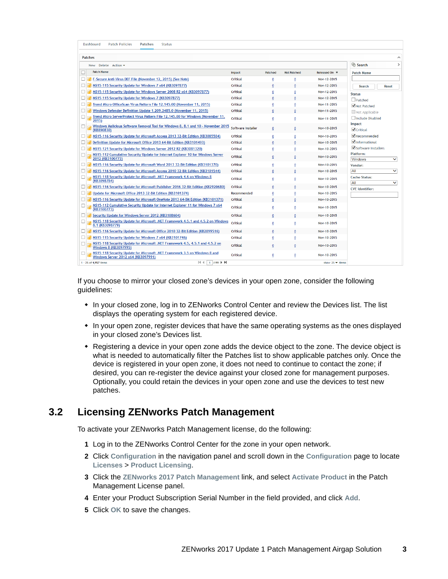| Dashboard<br><b>Patch Policies</b><br><b>Patches</b><br><b>Status</b>                                             |                    |                         |                    |                                       |                                     |
|-------------------------------------------------------------------------------------------------------------------|--------------------|-------------------------|--------------------|---------------------------------------|-------------------------------------|
| <b>Patches</b>                                                                                                    |                    |                         |                    |                                       |                                     |
| New Delete Action -                                                                                               |                    | Search<br>$\rightarrow$ |                    |                                       |                                     |
| <b>Patch Name</b>                                                                                                 | Impact             | Patched                 | <b>Not Patched</b> | Released On $\overline{\overline{v}}$ | <b>Patch Name</b>                   |
| F-Secure Anti-Virus DEF File (November 12, 2015) (See Note)<br>ப                                                  | Critical           | 0                       | 0                  | Nov-12-2015                           |                                     |
| MS15-115 Security Update for Windows 7 x64 (KB3097877)                                                            | Critical           | $\bf{0}$                | $\mathbf{0}$       | Nov-12-2015                           | <b>Search</b><br><b>Reset</b>       |
| MS15-115 Security Update for Windows Server 2008 R2 x64 (KB3097877)                                               | Critical           | 0                       | 0                  | Nov-12-2015                           | <b>Status</b>                       |
| MS15-115 Security Update for Windows 7 (KB3097877)                                                                | Critical           | O                       | $\mathbf 0$        | Nov-12-2015                           | $\Box$ Patched                      |
| Trend Micro OfficeScan Virus Pattern File 12.145.00 (November 11, 2015)                                           | Critical           | o                       | 0                  | Nov-11-2015                           | √ Not Patched                       |
| Windows Defender Definition Update 1.209.2485.0 (November 11, 2015)                                               | Critical           |                         |                    | Nov-11-2015                           | Not Applicable                      |
| Trend Micro ServerProtect Virus Pattern File 12.145.00 for Windows (November 11,<br>$\Box$<br>2015)               | Critical           | 0                       | $\mathbf{0}$       | Nov-11-2015                           | Include Disabled<br>Impact          |
| Windows Malicious Software Removal Tool for Windows 8, 8.1 and 10 - November 2015<br>$\Box$<br>(KB890830)         | Software Installer | 0                       | 0                  | Nov-10-2015                           | $\sqrt{\overline{\text{C}}$ ritical |
| MS15-116 Security Update for Microsoft Access 2013 32-Bit Edition (KB3085584)                                     | Critical           | $\bf{0}$                | 0                  | Nov-10-2015                           | $\blacksquare$ Recommended          |
| Definition Update for Microsoft Office 2013 64-Bit Edition (KB3101493)<br>⊔                                       | Critical           | $\mathbf{0}$            | $\bf{0}$           | Nov-10-2015                           | $\blacksquare$ Informational        |
| MS15-121 Security Update for Windows Server 2012 R2 (KB3081320)                                                   | Critical           | 0                       | 0                  | Nov-10-2015                           | Software Installers                 |
| MS15-112 Cumulative Security Update for Internet Explorer 10 for Windows Server<br>2012 (KB3100773)               | Critical           | $\mathbf{0}$            | $\bf{0}$           | Nov-10-2015                           | Platform:<br>Windows<br>◡           |
| MS15-116 Security Update for Microsoft Word 2013 32-Bit Edition (KB3101370)                                       | Critical           | 0                       | 0                  | Nov-10-2015                           | Vendor:                             |
| MS15-116 Security Update for Microsoft Access 2010 32-Bit Edition (KB3101544)                                     | Critical           |                         |                    | Nov-10-2015                           | All<br>$\checkmark$                 |
| MS15-118 Security Update for Microsoft .NET Framework 4.6 on Windows 8<br>(KB3098784)                             | Critical           | 0                       | $\bf{0}$           | Nov-10-2015                           | <b>Cache Status:</b><br>All<br>◡    |
| MS15-116 Security Update for Microsoft Publisher 2016 32-Bit Edition (KB2920680)                                  | Critical           |                         | $\mathbf{0}$       | Nov-10-2015                           | <b>CVE</b> Identifier:              |
| Update for Microsoft Office 2013 32-Bit Edition (KB3101374)                                                       | Recommended        |                         | $\mathbf 0$        | Nov-10-2015                           |                                     |
| MS15-116 Security Update for Microsoft OneNote 2013 64-Bit Edition (KB3101371)                                    | Critical           |                         | $\mathbf{0}$       | Nov-10-2015                           |                                     |
| MS15-112 Cumulative Security Update for Internet Explorer 11 for Windows 7 x64<br>ш<br>(KB3100773)                | Critical           | 0                       | 0                  | Nov-10-2015                           |                                     |
| Security Update for Windows Server 2012 (KB3108604)                                                               | Critical           |                         |                    | Nov-10-2015                           |                                     |
| MS15-118 Security Update for Microsoft .NET Framework 4.5.1 and 4.5.2 on Windows<br>8.1 (KB3098779)               | Critical           | 0                       | 0                  | Nov-10-2015                           |                                     |
| MS15-116 Security Update for Microsoft Office 2010 32-Bit Edition (KB2899516)                                     | Critical           |                         |                    | Nov-10-2015                           |                                     |
| MS15-115 Security Update for Windows 7 x64 (KB3101746)<br>ш                                                       | Critical           | 0                       | $\bf{0}$           | Nov-10-2015                           |                                     |
| MS15-118 Security Update for Microsoft .NET Framework 4.5, 4.5.1 and 4.5.2 on<br>Windows 8 (KB3097995)            | Critical           | 0                       | 0                  | Nov-10-2015                           |                                     |
| MS15-118 Security Update for Microsoft .NET Framework 3.5 on Windows 8 and<br>Windows Server 2012 x64 (KB3097991) | Critical           | 0                       | 0                  | Nov-10-2015                           |                                     |
| $1/199$ $\blacktriangleright$ $\blacktriangleright$<br> 44<br>1 - 25 of 4,957 items                               |                    |                         |                    | show $25 -$ items                     |                                     |

If you choose to mirror your closed zone's devices in your open zone, consider the following guidelines:

- In your closed zone, log in to ZENworks Control Center and review the Devices list. The list displays the operating system for each registered device.
- In your open zone, register devices that have the same operating systems as the ones displayed in your closed zone's Devices list.
- Registering a device in your open zone adds the device object to the zone. The device object is what is needed to automatically filter the Patches list to show applicable patches only. Once the device is registered in your open zone, it does not need to continue to contact the zone; if desired, you can re-register the device against your closed zone for management purposes. Optionally, you could retain the devices in your open zone and use the devices to test new patches.

#### **3.2 Licensing ZENworks Patch Management**

To activate your ZENworks Patch Management license, do the following:

- **1** Log in to the ZENworks Control Center for the zone in your open network.
- **2** Click **Configuration** in the navigation panel and scroll down in the **Configuration** page to locate **Licenses** > **Product Licensing**.
- **3** Click the **ZENworks 2017 Patch Management** link, and select **Activate Product** in the Patch Management License panel.
- **4** Enter your Product Subscription Serial Number in the field provided, and click **Add**.
- **5** Click **OK** to save the changes.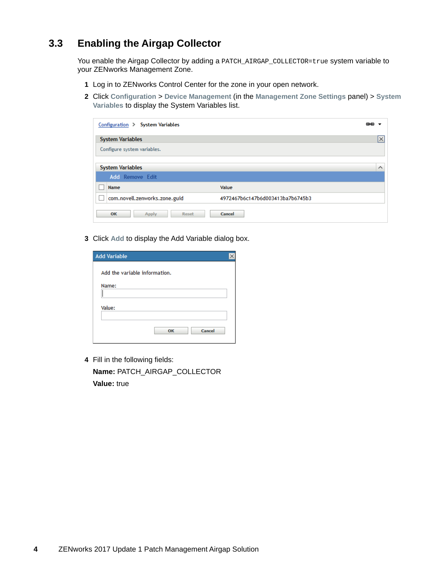### <span id="page-3-0"></span>**3.3 Enabling the Airgap Collector**

You enable the Airgap Collector by adding a PATCH\_AIRGAP\_COLLECTOR=true system variable to your ZENworks Management Zone.

- **1** Log in to ZENworks Control Center for the zone in your open network.
- **2** Click **Configuration** > **Device Management** (in the **Management Zone Settings** panel) > **System Variables** to display the System Variables list.

| Configuration > System Variables |                                  | œÐ                               |
|----------------------------------|----------------------------------|----------------------------------|
| <b>System Variables</b>          |                                  | <b><i><u>Programment</u></i></b> |
| Configure system variables.      |                                  |                                  |
| <b>System Variables</b>          |                                  | $\wedge$                         |
| <b>Add</b> Remove Edit           |                                  |                                  |
| Name                             | Value                            |                                  |
| com.novell.zenworks.zone.guid    | 4972467b6c147b6d003413ba7b6745b3 |                                  |
| OK<br>Apply<br>Reset             | Cancel                           |                                  |

**3** Click **Add** to display the Add Variable dialog box.

| <b>Add Variable</b>           |  |
|-------------------------------|--|
| Add the variable information. |  |
| Name:                         |  |
|                               |  |
| Value:                        |  |
| Cancel<br>OK                  |  |

**4** Fill in the following fields: **Name:** PATCH\_AIRGAP\_COLLECTOR **Value:** true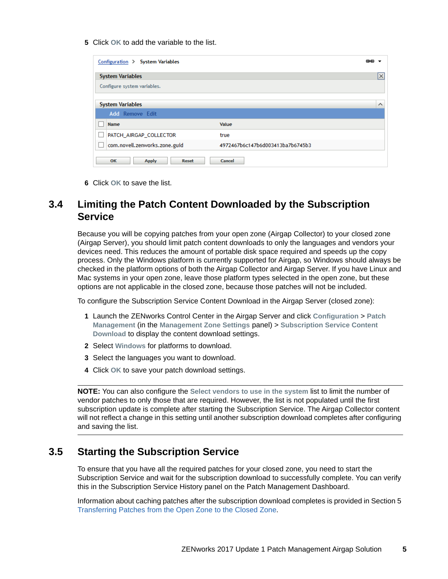**5** Click **OK** to add the variable to the list.

| Configuration > System Variables   |                                  | 色色        |
|------------------------------------|----------------------------------|-----------|
| <b>System Variables</b>            |                                  | <u>Ix</u> |
| Configure system variables.        |                                  |           |
|                                    |                                  |           |
| <b>System Variables</b>            |                                  | $\wedge$  |
| <b>Add Remove Edit</b>             |                                  |           |
| Name                               | Value                            |           |
| PATCH_AIRGAP_COLLECTOR             | true                             |           |
| com.novell.zenworks.zone.guid      | 4972467b6c147b6d003413ba7b6745b3 |           |
| OK<br><b>Apply</b><br><b>Reset</b> | Cancel                           |           |

**6** Click **OK** to save the list.

### **3.4 Limiting the Patch Content Downloaded by the Subscription Service**

Because you will be copying patches from your open zone (Airgap Collector) to your closed zone (Airgap Server), you should limit patch content downloads to only the languages and vendors your devices need. This reduces the amount of portable disk space required and speeds up the copy process. Only the Windows platform is currently supported for Airgap, so Windows should always be checked in the platform options of both the Airgap Collector and Airgap Server. If you have Linux and Mac systems in your open zone, leave those platform types selected in the open zone, but these options are not applicable in the closed zone, because those patches will not be included.

To configure the Subscription Service Content Download in the Airgap Server (closed zone):

- **1** Launch the ZENworks Control Center in the Airgap Server and click **Configuration** > **Patch Management** (in the **Management Zone Settings** panel) > **Subscription Service Content Download** to display the content download settings.
- **2** Select **Windows** for platforms to download.
- **3** Select the languages you want to download.
- **4** Click **OK** to save your patch download settings.

**NOTE:** You can also configure the **Select vendors to use in the system** list to limit the number of vendor patches to only those that are required. However, the list is not populated until the first subscription update is complete after starting the Subscription Service. The Airgap Collector content will not reflect a change in this setting until another subscription download completes after configuring and saving the list.

#### **3.5 Starting the Subscription Service**

To ensure that you have all the required patches for your closed zone, you need to start the Subscription Service and wait for the subscription download to successfully complete. You can verify this in the Subscription Service History panel on the Patch Management Dashboard.

Information about caching patches after the subscription download completes is provided in Section 5 [Transferring Patches from the Open Zone to the Closed Zone.](#page-7-0)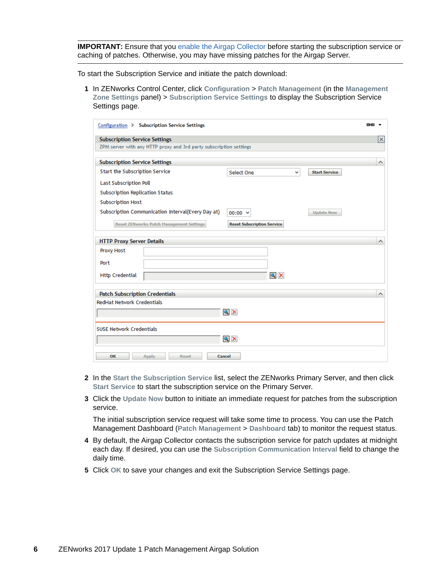**IMPORTANT:** Ensure that you [enable the Airgap Collector](#page-3-0) before starting the subscription service or caching of patches. Otherwise, you may have missing patches for the Airgap Server.

To start the Subscription Service and initiate the patch download:

**1** In ZENworks Control Center, click **Configuration** > **Patch Management** (in the **Management Zone Settings** panel) > **Subscription Service Settings** to display the Subscription Service Settings page.

| Configuration > Subscription Service Settings                      |                                         | 色色       |
|--------------------------------------------------------------------|-----------------------------------------|----------|
| <b>Subscription Service Settings</b>                               |                                         | x        |
| ZPM server with any HTTP proxy and 3rd party subscription settings |                                         |          |
|                                                                    |                                         |          |
| <b>Subscription Service Settings</b>                               |                                         | ∧        |
| Start the Subscription Service                                     | Select One<br>v<br><b>Start Service</b> |          |
| <b>Last Subscription Poll</b>                                      |                                         |          |
| <b>Subscription Replication Status</b>                             |                                         |          |
| <b>Subscription Host</b>                                           |                                         |          |
| Subscription Communication Interval(Every Day at)                  | $00:00 \times$<br><b>Update Now</b>     |          |
| <b>Reset ZENworks Patch Management Settings</b>                    | <b>Reset Subscription Service</b>       |          |
|                                                                    |                                         |          |
| <b>HTTP Proxy Server Details</b>                                   |                                         | $\wedge$ |
| Proxy Host                                                         |                                         |          |
| Port                                                               |                                         |          |
| <b>Http Credential</b>                                             | $Q \times$                              |          |
| <b>Patch Subscription Credentials</b>                              |                                         | $\wedge$ |
| <b>RedHat Network Credentials</b>                                  |                                         |          |
|                                                                    | $Q \times$                              |          |
|                                                                    |                                         |          |
| <b>SUSE Network Credentials</b>                                    |                                         |          |
|                                                                    | $Q \times$                              |          |
| OK<br><b>Apply</b><br><b>Reset</b>                                 | Cancel                                  |          |

- **2** In the **Start the Subscription Service** list, select the ZENworks Primary Server, and then click **Start Service** to start the subscription service on the Primary Server.
- **3** Click the **Update Now** button to initiate an immediate request for patches from the subscription service.

The initial subscription service request will take some time to process. You can use the Patch Management Dashboard (**Patch Management** > **Dashboard** tab) to monitor the request status.

- **4** By default, the Airgap Collector contacts the subscription service for patch updates at midnight each day. If desired, you can use the **Subscription Communication Interval** field to change the daily time.
- **5** Click **OK** to save your changes and exit the Subscription Service Settings page.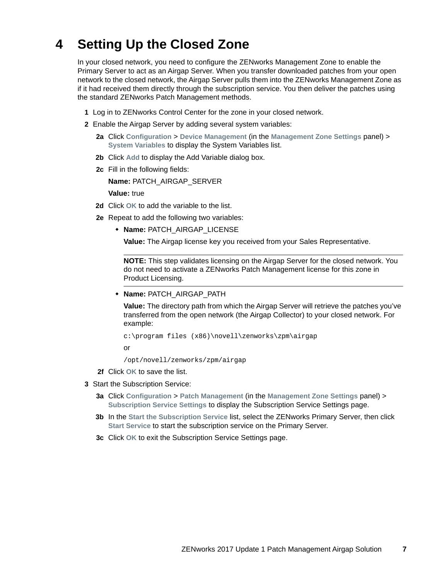# **4 Setting Up the Closed Zone**

In your closed network, you need to configure the ZENworks Management Zone to enable the Primary Server to act as an Airgap Server. When you transfer downloaded patches from your open network to the closed network, the Airgap Server pulls them into the ZENworks Management Zone as if it had received them directly through the subscription service. You then deliver the patches using the standard ZENworks Patch Management methods.

- **1** Log in to ZENworks Control Center for the zone in your closed network.
- **2** Enable the Airgap Server by adding several system variables:
	- **2a** Click **Configuration** > **Device Management** (in the **Management Zone Settings** panel) > **System Variables** to display the System Variables list.
	- **2b** Click **Add** to display the Add Variable dialog box.
	- **2c** Fill in the following fields:

**Name:** PATCH\_AIRGAP\_SERVER

**Value:** true

- **2d** Click **OK** to add the variable to the list.
- <span id="page-6-0"></span>**2e** Repeat to add the following two variables:
	- **Name:** PATCH\_AIRGAP\_LICENSE

**Value:** The Airgap license key you received from your Sales Representative.

**NOTE:** This step validates licensing on the Airgap Server for the closed network. You do not need to activate a ZENworks Patch Management license for this zone in Product Licensing.

**+ Name: PATCH AIRGAP PATH** 

**Value:** The directory path from which the Airgap Server will retrieve the patches you've transferred from the open network (the Airgap Collector) to your closed network. For example:

c:\program files (x86)\novell\zenworks\zpm\airgap

or

/opt/novell/zenworks/zpm/airgap

- **2f** Click **OK** to save the list.
- **3** Start the Subscription Service:
	- **3a** Click **Configuration** > **Patch Management** (in the **Management Zone Settings** panel) > **Subscription Service Settings** to display the Subscription Service Settings page.
	- **3b** In the **Start the Subscription Service** list, select the ZENworks Primary Server, then click **Start Service** to start the subscription service on the Primary Server.
	- **3c** Click **OK** to exit the Subscription Service Settings page.